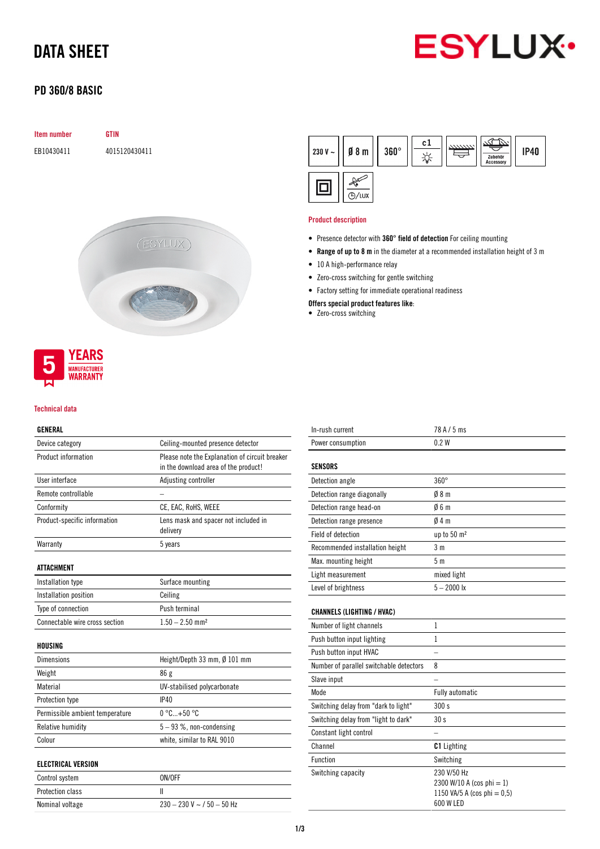# DATA SHEET



## PD 360/8 BASIC

| Item number | <b>GTIN</b>   |          |
|-------------|---------------|----------|
| EB10430411  | 4015120430411 |          |
|             |               |          |
|             |               |          |
|             |               |          |
|             |               |          |
|             |               | (ESYLUX) |
|             |               |          |
|             |               |          |
|             |               |          |
|             |               |          |



#### Technical data

## GENERAL

| Device category                 | Ceiling-mounted presence detector                                                      |  |  |
|---------------------------------|----------------------------------------------------------------------------------------|--|--|
| <b>Product information</b>      | Please note the Explanation of circuit breaker<br>in the download area of the product! |  |  |
| User interface                  | Adjusting controller                                                                   |  |  |
| Remote controllable             |                                                                                        |  |  |
| Conformity                      | CE, EAC, RoHS, WEEE                                                                    |  |  |
| Product-specific information    | Lens mask and spacer not included in<br>delivery                                       |  |  |
| Warranty                        | 5 years                                                                                |  |  |
| ATTACHMENT                      |                                                                                        |  |  |
| Installation type               | Surface mounting                                                                       |  |  |
| Installation position           | Ceiling                                                                                |  |  |
| Type of connection              | Push terminal                                                                          |  |  |
| Connectable wire cross section  | $1.50 - 2.50$ mm <sup>2</sup>                                                          |  |  |
| HOUSING                         |                                                                                        |  |  |
| <b>Dimensions</b>               | Height/Depth 33 mm, Ø 101 mm                                                           |  |  |
| Weight                          | 86 g                                                                                   |  |  |
| Material                        | UV-stabilised polycarbonate                                                            |  |  |
| Protection type                 | IP40                                                                                   |  |  |
| Permissible ambient temperature | $0 °C+50 °C$                                                                           |  |  |
| Relative humidity               | $5-93$ %, non-condensing                                                               |  |  |
| Colour                          | white, similar to RAL 9010                                                             |  |  |
| <b>ELECTRICAL VERSION</b>       |                                                                                        |  |  |
| Control system                  | ON/OFF                                                                                 |  |  |
| Protection class                | Ш                                                                                      |  |  |
| Nominal voltage                 | $230 - 230$ V ~ $/50 - 50$ Hz                                                          |  |  |



## Product description

- Presence detector with 360° field of detection For ceiling mounting
- Range of up to 8 m in the diameter at a recommended installation height of 3 m
- 10 A high-performance relay
- Zero-cross switching for gentle switching
- Factory setting for immediate operational readiness

Offers special product features like:

• Zero-cross switching

| 0.2W                                                                                 |
|--------------------------------------------------------------------------------------|
|                                                                                      |
|                                                                                      |
| $360^\circ$                                                                          |
| Ø8m                                                                                  |
| 06m                                                                                  |
| 04m                                                                                  |
| up to 50 m <sup>2</sup>                                                              |
| 3 <sub>m</sub>                                                                       |
| 5 <sub>m</sub>                                                                       |
| mixed light                                                                          |
| $5 - 2000$ lx                                                                        |
|                                                                                      |
|                                                                                      |
| $\mathbf{1}$                                                                         |
| 1                                                                                    |
|                                                                                      |
| 8                                                                                    |
|                                                                                      |
| <b>Fully automatic</b>                                                               |
| 300 s                                                                                |
| 30s                                                                                  |
|                                                                                      |
| <b>C1</b> Lighting                                                                   |
| Switching                                                                            |
| 230 V/50 Hz<br>2300 W/10 A (cos phi = 1)<br>1150 VA/5 A (cos phi = 0,5)<br>600 W LED |
|                                                                                      |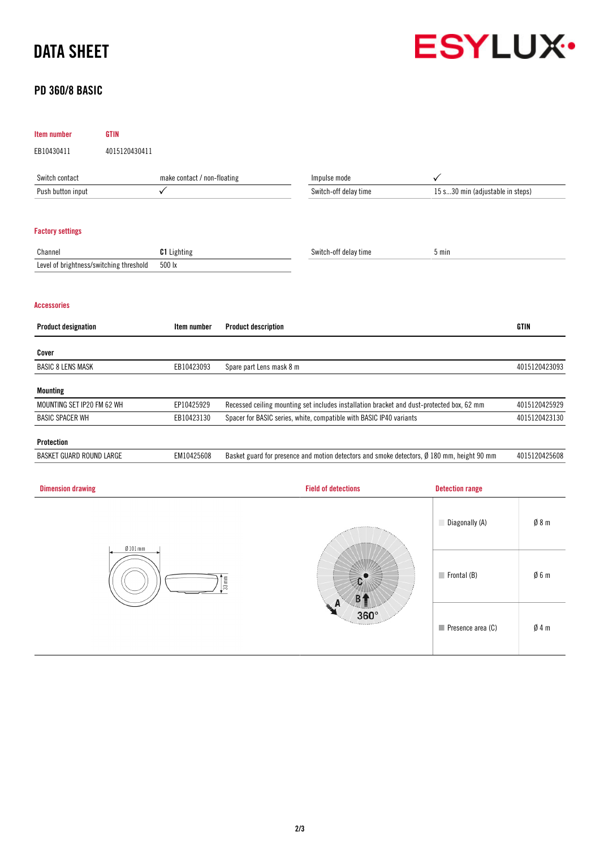# DATA SHEET



# PD 360/8 BASIC

| <b>Item number</b>                      | <b>GTIN</b>   |                             |                                                                                           |                                                                                                      |                                  |               |
|-----------------------------------------|---------------|-----------------------------|-------------------------------------------------------------------------------------------|------------------------------------------------------------------------------------------------------|----------------------------------|---------------|
| EB10430411                              | 4015120430411 |                             |                                                                                           |                                                                                                      |                                  |               |
| Switch contact                          |               | make contact / non-floating |                                                                                           | Impulse mode                                                                                         | $\checkmark$                     |               |
| Push button input                       |               | $\checkmark$                |                                                                                           | Switch-off delay time                                                                                | 15 s30 min (adjustable in steps) |               |
| <b>Factory settings</b>                 |               |                             |                                                                                           |                                                                                                      |                                  |               |
| Channel                                 |               | <b>C1</b> Lighting          |                                                                                           | Switch-off delay time                                                                                | 5 min                            |               |
| Level of brightness/switching threshold |               | 500 lx                      |                                                                                           |                                                                                                      |                                  |               |
| <b>Accessories</b>                      |               |                             |                                                                                           |                                                                                                      |                                  |               |
| <b>Product designation</b>              |               | Item number                 | <b>Product description</b>                                                                |                                                                                                      |                                  | <b>GTIN</b>   |
| Cover                                   |               |                             |                                                                                           |                                                                                                      |                                  |               |
| <b>BASIC 8 LENS MASK</b>                |               | EB10423093                  | Spare part Lens mask 8 m                                                                  |                                                                                                      |                                  | 4015120423093 |
| <b>Mounting</b>                         |               |                             |                                                                                           |                                                                                                      |                                  |               |
| MOUNTING SET IP20 FM 62 WH              |               | EP10425929                  | Recessed ceiling mounting set includes installation bracket and dust-protected box, 62 mm |                                                                                                      | 4015120425929                    |               |
| <b>BASIC SPACER WH</b>                  |               | EB10423130                  |                                                                                           | Spacer for BASIC series, white, compatible with BASIC IP40 variants                                  |                                  | 4015120423130 |
| <b>Protection</b>                       |               |                             |                                                                                           |                                                                                                      |                                  |               |
| <b>BASKET GUARD ROUND LARGE</b>         |               | EM10425608                  |                                                                                           | Basket guard for presence and motion detectors and smoke detectors, $\emptyset$ 180 mm, height 90 mm |                                  | 4015120425608 |
| <b>Dimension drawing</b>                |               |                             |                                                                                           | <b>Field of detections</b>                                                                           | <b>Detection range</b>           |               |
|                                         |               |                             |                                                                                           |                                                                                                      |                                  |               |

| $Ø101$ mm<br>$33 \text{ mm}^2$ | <b>JARRIER</b><br>$360^\circ$<br><b><i>Changed Street</i></b> | Diagonally (A)                   | $\emptyset$ 8 m |
|--------------------------------|---------------------------------------------------------------|----------------------------------|-----------------|
|                                |                                                               | $\blacksquare$ Frontal (B)       | Ø6m             |
|                                |                                                               | $\blacksquare$ Presence area (C) | $\emptyset$ 4 m |